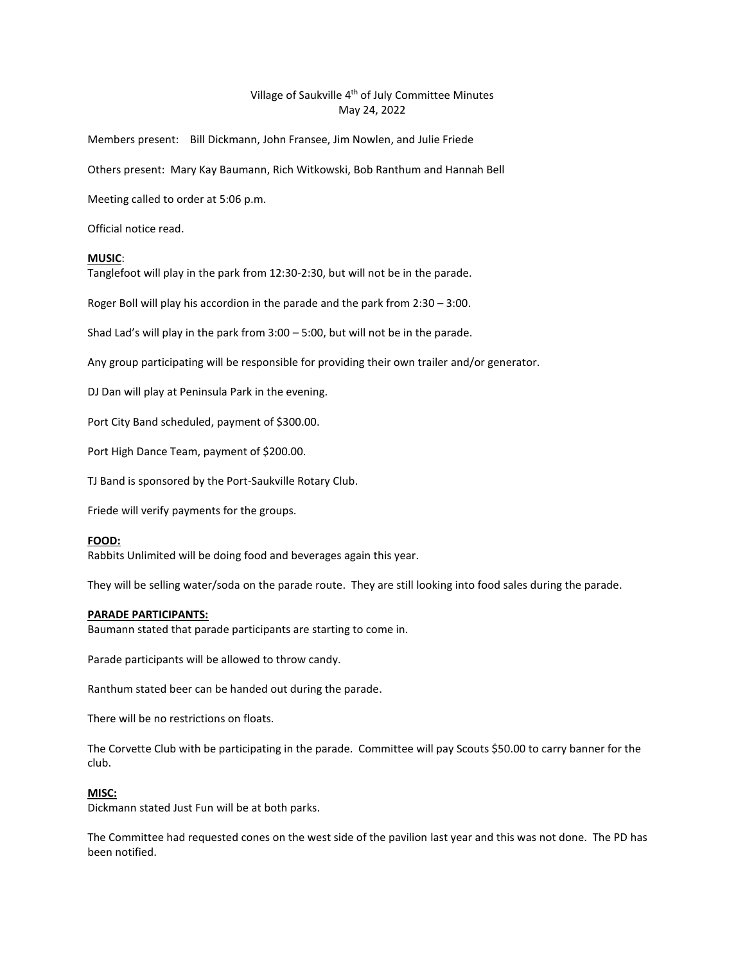# Village of Saukville 4<sup>th</sup> of July Committee Minutes May 24, 2022

Members present: Bill Dickmann, John Fransee, Jim Nowlen, and Julie Friede

Others present: Mary Kay Baumann, Rich Witkowski, Bob Ranthum and Hannah Bell

Meeting called to order at 5:06 p.m.

Official notice read.

## **MUSIC**:

Tanglefoot will play in the park from 12:30-2:30, but will not be in the parade.

Roger Boll will play his accordion in the parade and the park from 2:30 – 3:00.

Shad Lad's will play in the park from 3:00 – 5:00, but will not be in the parade.

Any group participating will be responsible for providing their own trailer and/or generator.

DJ Dan will play at Peninsula Park in the evening.

Port City Band scheduled, payment of \$300.00.

Port High Dance Team, payment of \$200.00.

TJ Band is sponsored by the Port-Saukville Rotary Club.

Friede will verify payments for the groups.

## **FOOD:**

Rabbits Unlimited will be doing food and beverages again this year.

They will be selling water/soda on the parade route. They are still looking into food sales during the parade.

## **PARADE PARTICIPANTS:**

Baumann stated that parade participants are starting to come in.

Parade participants will be allowed to throw candy.

Ranthum stated beer can be handed out during the parade.

There will be no restrictions on floats.

The Corvette Club with be participating in the parade. Committee will pay Scouts \$50.00 to carry banner for the club.

## **MISC:**

Dickmann stated Just Fun will be at both parks.

The Committee had requested cones on the west side of the pavilion last year and this was not done. The PD has been notified.